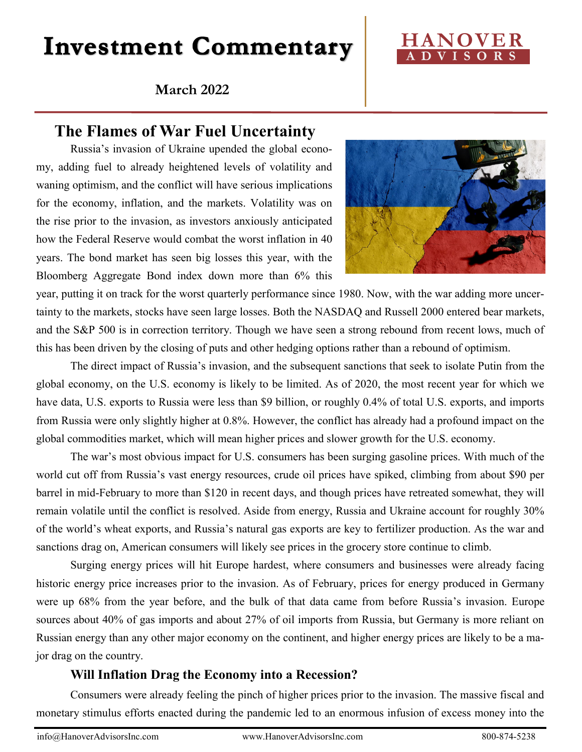# **Investment Commentary**

## **March 2022**



# **The Flames of War Fuel Uncertainty**

Russia's invasion of Ukraine upended the global economy, adding fuel to already heightened levels of volatility and waning optimism, and the conflict will have serious implications for the economy, inflation, and the markets. Volatility was on the rise prior to the invasion, as investors anxiously anticipated how the Federal Reserve would combat the worst inflation in 40 years. The bond market has seen big losses this year, with the Bloomberg Aggregate Bond index down more than 6% this



year, putting it on track for the worst quarterly performance since 1980. Now, with the war adding more uncertainty to the markets, stocks have seen large losses. Both the NASDAQ and Russell 2000 entered bear markets, and the S&P 500 is in correction territory. Though we have seen a strong rebound from recent lows, much of this has been driven by the closing of puts and other hedging options rather than a rebound of optimism.

The direct impact of Russia's invasion, and the subsequent sanctions that seek to isolate Putin from the global economy, on the U.S. economy is likely to be limited. As of 2020, the most recent year for which we have data, U.S. exports to Russia were less than \$9 billion, or roughly 0.4% of total U.S. exports, and imports from Russia were only slightly higher at 0.8%. However, the conflict has already had a profound impact on the global commodities market, which will mean higher prices and slower growth for the U.S. economy.

The war's most obvious impact for U.S. consumers has been surging gasoline prices. With much of the world cut off from Russia's vast energy resources, crude oil prices have spiked, climbing from about \$90 per barrel in mid-February to more than \$120 in recent days, and though prices have retreated somewhat, they will remain volatile until the conflict is resolved. Aside from energy, Russia and Ukraine account for roughly 30% of the world's wheat exports, and Russia's natural gas exports are key to fertilizer production. As the war and sanctions drag on, American consumers will likely see prices in the grocery store continue to climb.

Surging energy prices will hit Europe hardest, where consumers and businesses were already facing historic energy price increases prior to the invasion. As of February, prices for energy produced in Germany were up 68% from the year before, and the bulk of that data came from before Russia's invasion. Europe sources about 40% of gas imports and about 27% of oil imports from Russia, but Germany is more reliant on Russian energy than any other major economy on the continent, and higher energy prices are likely to be a major drag on the country.

### **Will Inflation Drag the Economy into a Recession?**

Consumers were already feeling the pinch of higher prices prior to the invasion. The massive fiscal and monetary stimulus efforts enacted during the pandemic led to an enormous infusion of excess money into the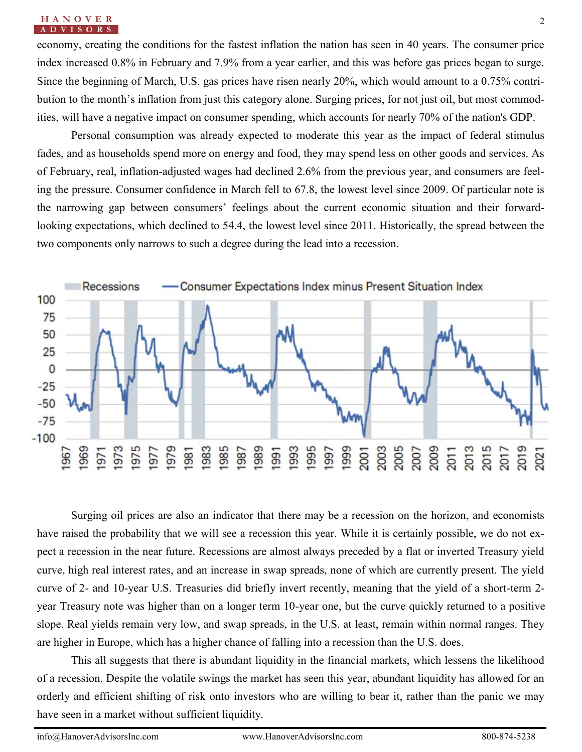#### **H A N O V E R** 2 **A D V I S O R S**

economy, creating the conditions for the fastest inflation the nation has seen in 40 years. The consumer price index increased 0.8% in February and 7.9% from a year earlier, and this was before gas prices began to surge. Since the beginning of March, U.S. gas prices have risen nearly 20%, which would amount to a 0.75% contribution to the month's inflation from just this category alone. Surging prices, for not just oil, but most commodities, will have a negative impact on consumer spending, which accounts for nearly 70% of the nation's GDP.

Personal consumption was already expected to moderate this year as the impact of federal stimulus fades, and as households spend more on energy and food, they may spend less on other goods and services. As of February, real, inflation-adjusted wages had declined 2.6% from the previous year, and consumers are feeling the pressure. Consumer confidence in March fell to 67.8, the lowest level since 2009. Of particular note is the narrowing gap between consumers' feelings about the current economic situation and their forwardlooking expectations, which declined to 54.4, the lowest level since 2011. Historically, the spread between the two components only narrows to such a degree during the lead into a recession.



Surging oil prices are also an indicator that there may be a recession on the horizon, and economists have raised the probability that we will see a recession this year. While it is certainly possible, we do not expect a recession in the near future. Recessions are almost always preceded by a flat or inverted Treasury yield curve, high real interest rates, and an increase in swap spreads, none of which are currently present. The yield curve of 2- and 10-year U.S. Treasuries did briefly invert recently, meaning that the yield of a short-term 2 year Treasury note was higher than on a longer term 10-year one, but the curve quickly returned to a positive slope. Real yields remain very low, and swap spreads, in the U.S. at least, remain within normal ranges. They are higher in Europe, which has a higher chance of falling into a recession than the U.S. does.

This all suggests that there is abundant liquidity in the financial markets, which lessens the likelihood of a recession. Despite the volatile swings the market has seen this year, abundant liquidity has allowed for an orderly and efficient shifting of risk onto investors who are willing to bear it, rather than the panic we may have seen in a market without sufficient liquidity.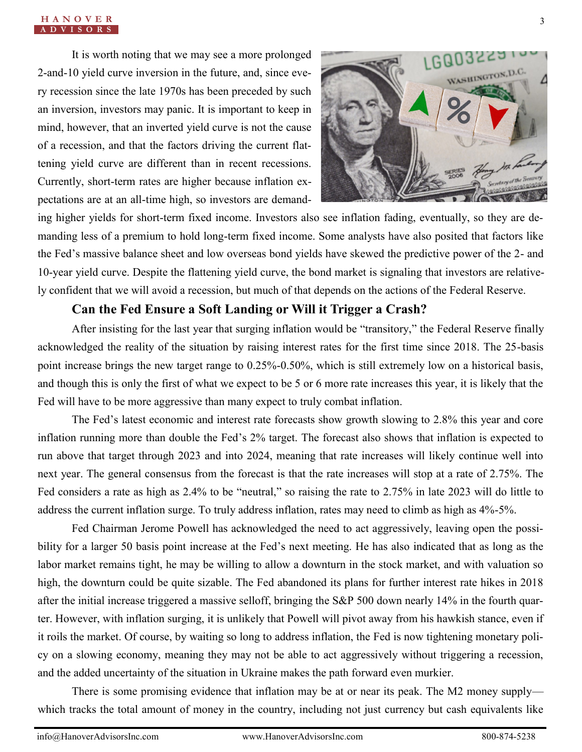It is worth noting that we may see a more prolonged 2-and-10 yield curve inversion in the future, and, since every recession since the late 1970s has been preceded by such an inversion, investors may panic. It is important to keep in mind, however, that an inverted yield curve is not the cause of a recession, and that the factors driving the current flattening yield curve are different than in recent recessions. Currently, short-term rates are higher because inflation expectations are at an all-time high, so investors are demand-



ing higher yields for short-term fixed income. Investors also see inflation fading, eventually, so they are demanding less of a premium to hold long-term fixed income. Some analysts have also posited that factors like the Fed's massive balance sheet and low overseas bond yields have skewed the predictive power of the 2- and 10-year yield curve. Despite the flattening yield curve, the bond market is signaling that investors are relatively confident that we will avoid a recession, but much of that depends on the actions of the Federal Reserve.

### **Can the Fed Ensure a Soft Landing or Will it Trigger a Crash?**

After insisting for the last year that surging inflation would be "transitory," the Federal Reserve finally acknowledged the reality of the situation by raising interest rates for the first time since 2018. The 25-basis point increase brings the new target range to 0.25%-0.50%, which is still extremely low on a historical basis, and though this is only the first of what we expect to be 5 or 6 more rate increases this year, it is likely that the Fed will have to be more aggressive than many expect to truly combat inflation.

The Fed's latest economic and interest rate forecasts show growth slowing to 2.8% this year and core inflation running more than double the Fed's 2% target. The forecast also shows that inflation is expected to run above that target through 2023 and into 2024, meaning that rate increases will likely continue well into next year. The general consensus from the forecast is that the rate increases will stop at a rate of 2.75%. The Fed considers a rate as high as 2.4% to be "neutral," so raising the rate to 2.75% in late 2023 will do little to address the current inflation surge. To truly address inflation, rates may need to climb as high as 4%-5%.

Fed Chairman Jerome Powell has acknowledged the need to act aggressively, leaving open the possibility for a larger 50 basis point increase at the Fed's next meeting. He has also indicated that as long as the labor market remains tight, he may be willing to allow a downturn in the stock market, and with valuation so high, the downturn could be quite sizable. The Fed abandoned its plans for further interest rate hikes in 2018 after the initial increase triggered a massive selloff, bringing the S&P 500 down nearly 14% in the fourth quarter. However, with inflation surging, it is unlikely that Powell will pivot away from his hawkish stance, even if it roils the market. Of course, by waiting so long to address inflation, the Fed is now tightening monetary policy on a slowing economy, meaning they may not be able to act aggressively without triggering a recession, and the added uncertainty of the situation in Ukraine makes the path forward even murkier.

There is some promising evidence that inflation may be at or near its peak. The M2 money supply which tracks the total amount of money in the country, including not just currency but cash equivalents like